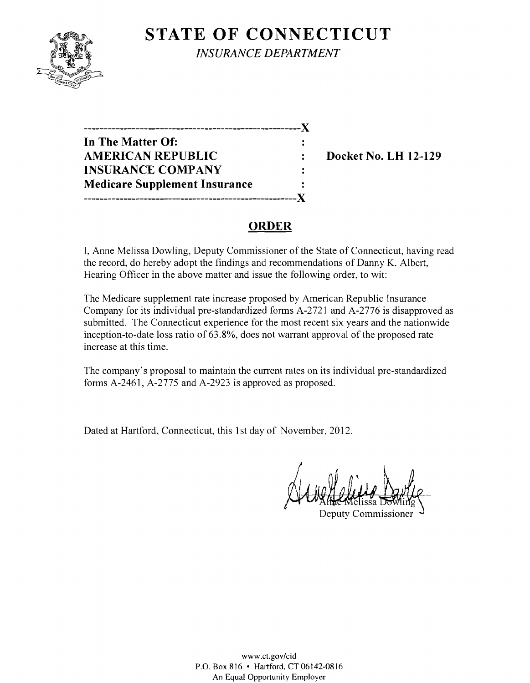

**STATE OF CONNECTICUT** *INSURANCE DEPARTMENT* 

**------------------------------------------------------**)( **In The Matter Of:**   $\ddot{\cdot}$ AMERICAN REPUBLIC : Docket No. LH 12-129 **INSURANCE COMPANY**  $\ddot{\cdot}$ **Medicare Supplement Insurance -----------------------------------------------------)(** 

## **ORDER**

I, Anne Melissa Dowling, Deputy Commissioner of the State of Connecticut, having read the record, do hereby adopt the findings and recommendations of Danny K. Albert, Hearing Officer in the above matter and issue the following order, to wit:

The Medicare supplement rate increase proposed by American Republic Insurance Company for its individual pre-standardized forms A-2721 and A-2776 is disapproved as submitted. The Connecticut experience for the most recent six years and the nationwide inception-to-date loss ratio of 63.8%, does not warrant approval of the proposed rate increase at this time.

The company's proposal to maintain the current rates on its individual pre-standardized forms A-246l, A-2775 and A-2923 is approved as proposed.

Dated at Hartford, Connecticut, this 1st day of November, 2012.

Deputy Commissioner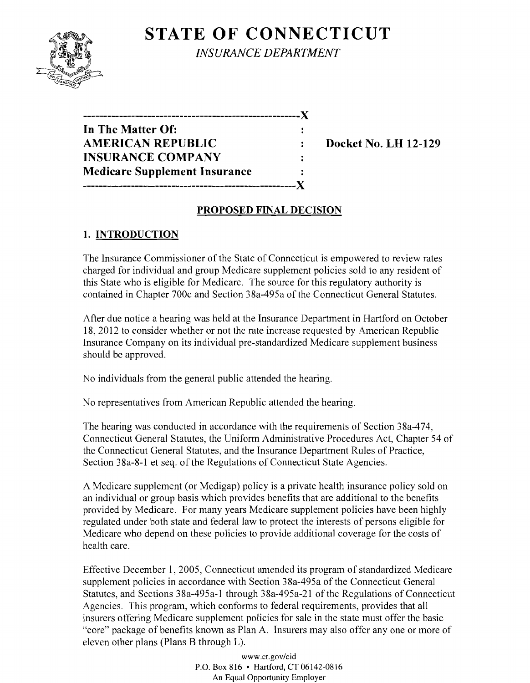# **STATE OF CONNECTICUT**



*INSURANCE DEPARTMENT* 

**------------------------------------------------------)( In The Matter Of:**  ÷ AMERICAN REPUBLIC : Docket No. LH 12-129 **INSURANCE COMPANY**   $\ddot{\cdot}$ **Medicare Supplement Insurance**   $\ddot{\cdot}$ **-----------------------------------------------------)(** 

#### **PROPOSED FINAL DECISION**

### **1. INTRODUCTION**

The Insurance Commissioner of the State of Connecticut is empowered to review rates charged for individual and group Medicare supplement policies sold to any resident of this State who is eligible for Medicare. The source for this regulatory authority is contained in Chapter 700c and Section 38a-495a of the Connecticut General Statutes.

After due notice a hearing was held at the Insurance Department in Hartford on October 18, 2012 to consider whether or not the rate increase requested by American Republic Insurance Company on its individual pre-standardized Medicare supplement business should be approved.

No individuals from the general public attended the hearing.

No representatives from American Republic attended the hearing.

The hearing was conducted in accordance with the requirements of Section 38a-474, Connecticut General Statutes, the Uniform Administrative Procedures Act, Chapter 54 of the Connecticut General Statutes, and the Insurance Department Rules of Practice, Section 38a-8-1 et seq. of the Regulations of Connecticut State Agencies.

A Medicare supplement (or Medigap) policy is a private health insurance policy sold on an individual or group basis which provides benefits that are additional to the benefits provided by Medicare. For many years Medicare supplement policies have been highly regulated under both state and federal law to protect the interests of persons eligible for Medicare who depend on these policies to provide additional coverage for the costs of health care.

Effective December 1,2005, Connecticut amended its program of standardized Medicare supplement policies in accordance with Section 38a-495a of the Connecticut General Statutes, and Sections 38a-495a-l through 38a-495a-2l of the Regulations of Connecticut Agencies. This program, which conforms to federal requirements, provides that all insurers offering Medicare supplement policies for sale in the state must offer the basic "core" package of benefits known as Plan A. Insurers may also offer anyone or more of eleven other plans (Plans B through L).

> www.ct.gov/cid P.O. Box 816 • Hartford, CT 06142-0816 An Equal Opportunity Employer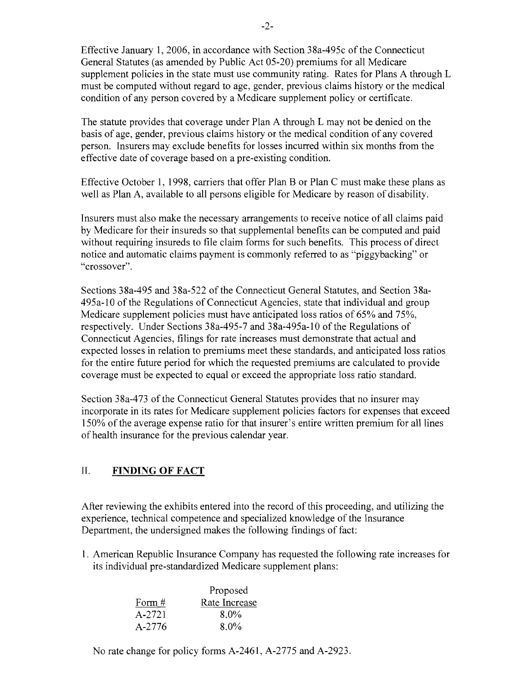Effective January 1, 2006, in accordance with Section 38a-495c ofthe Connecticut General Statutes (as amended by Public Act 05-20) premiums for all Medicare supplement policies in the state must use community rating. Rates for Plans A through L must be computed without regard to age, gender, previous claims history or the medical condition of any person covered by a Medicare supplement policy or certificate.

The statute provides that coverage under Plan A through L may not be denied on the basis of age, gender, previous claims history or the medical condition of any covered person. Insurers may exclude benefits for losses incurred within six months from the effective date of coverage based on a pre-existing condition.

Effective October 1, 1998, carriers that offer Plan B or Plan C must make these plans as well as Plan A, available to all persons eligible for Medicare by reason of disability.

Insurers must also make the necessary arrangements to receive notice of all claims paid by Medicare for their insureds so that supplemental benefits can be computed and paid without requiring insureds to file claim forms for such benefits. This process of direct notice and automatic claims payment is commonly referred to as "piggybacking" or "crossover".

Sections 38a-495 and 38a-522 of the Connecticut General Statutes, and Section 38a-495a-10 ofthe Regulations of Connecticut Agencies, state that individual and group Medicare supplement policies must have anticipated loss ratios of 65% and 75%, respectively. Under Sections 38a-495-7 and 38a-495a-10 of the Regulations of Connecticut Agencies, filings for rate increases must demonstrate that actual and expected losses in relation to premiums meet these standards, and anticipated loss ratios for the entire future period for which the requested premiums are calculated to provide coverage must be expected to equal or exceed the appropriate loss ratio standard.

Section 38a-473 of the Connecticut General Statutes provides that no insurer may incorporate in its rates for Medicare supplement policies factors for expenses that exceed 150% of the average expense ratio for that insurer's entire written premium for all lines of health insurance for the previous calendar year.

### II. **FINDING OF FACT**

After reviewing the exhibits entered into the record of this proceeding, and utilizing the experience, technical competence and specialized knowledge of the Insurance Department, the undersigned makes the following findings of fact:

1. American Republic Insurance Company has requested the following rate increases for its individual pre-standardized Medicare supplement plans:

|          | Proposed      |  |
|----------|---------------|--|
| Form $#$ | Rate Increase |  |
| $A-2721$ | $8.0\%$       |  |
| A-2776   | $8.0\%$       |  |

No rate change for policy forms A-2461, A-2775 and A-2923.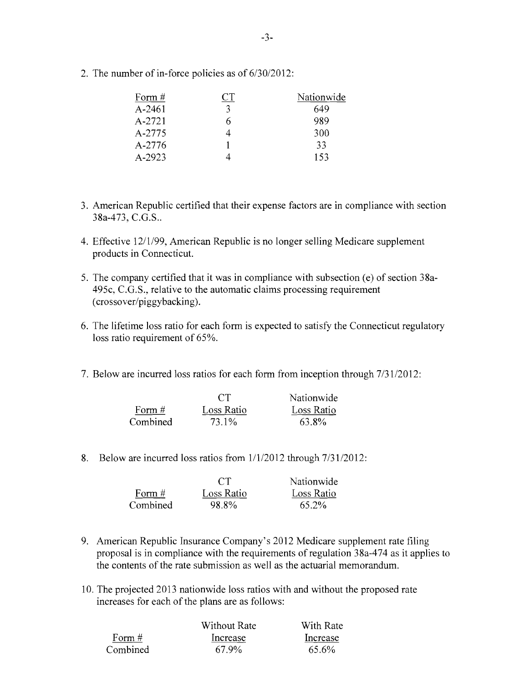2. The number of in-force policies as of 6/30/2012:

| Form #     | Nationwide |
|------------|------------|
| $A - 2461$ | 649        |
| A-2721     | 989        |
| A-2775     | 300        |
| A-2776     | 33         |
| $A - 2923$ | 153        |

- 3. American Republic certified that their expense factors are in compliance with section 38a-473, C.G.S..
- 4. Effective 12/1/99, American Republic is no longer selling Medicare supplement products in Connecticut.
- 5. The company certified that it was in compliance with subsection (e) of section 38a-495c, C.G.S., relative to the automatic claims processing requirement (crossover/piggybacking).
- 6. The lifetime loss ratio for each fonn is expected to satisfy the Connecticut regulatory loss ratio requirement of 65%.
- 7. Below are incurred loss ratios for each form from inception through  $7/31/2012$ :

|          | CT         | Nationwide |
|----------|------------|------------|
| Form $#$ | Loss Ratio | Loss Ratio |
| Combined | 73.1%      | 63.8%      |

8. Below are incurred loss ratios from  $1/1/2012$  through  $7/31/2012$ :

|          | CT         | Nationwide |
|----------|------------|------------|
| Form $#$ | Loss Ratio | Loss Ratio |
| Combined | 98.8%      | 65.2%      |

- 9. American Republic Insurance Company's 2012 Medicare supplement rate filing proposal is in compliance with the requirements ofregulation 38a-474 as it applies to the contents of the rate submission as well as the actuarial memorandum.
- 10. The projected 2013 nationwide loss ratios with and without the proposed rate increases for each of the plans are as follows:

|          | Without Rate | With Rate |
|----------|--------------|-----------|
| Form $#$ | Increase     | Increase  |
| Combined | 67.9%        | 65.6%     |